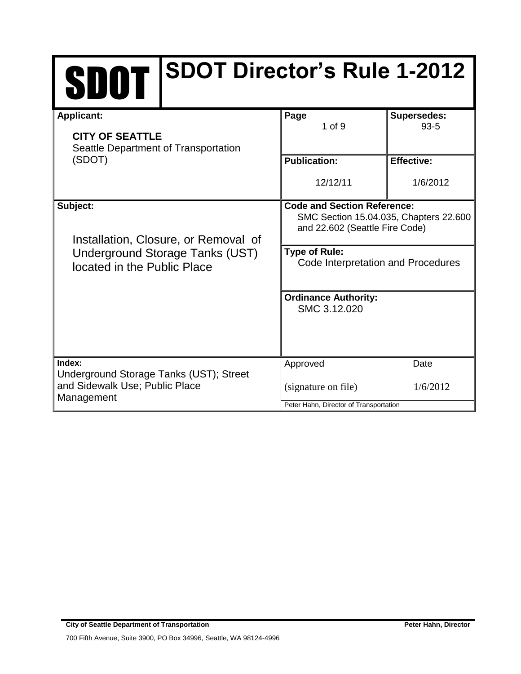| <b>SDOT Director's Rule 1-2012</b><br><b>SDOT</b>                         |                                                                                                                |                                |  |
|---------------------------------------------------------------------------|----------------------------------------------------------------------------------------------------------------|--------------------------------|--|
| <b>Applicant:</b>                                                         | Page<br>$1$ of $9$                                                                                             | <b>Supersedes:</b><br>$93 - 5$ |  |
| <b>CITY OF SEATTLE</b><br>Seattle Department of Transportation            |                                                                                                                |                                |  |
| (SDOT)                                                                    | <b>Publication:</b>                                                                                            | <b>Effective:</b>              |  |
|                                                                           | 12/12/11                                                                                                       | 1/6/2012                       |  |
| Subject:<br>Installation, Closure, or Removal of                          | <b>Code and Section Reference:</b><br>SMC Section 15.04.035, Chapters 22.600<br>and 22.602 (Seattle Fire Code) |                                |  |
| Underground Storage Tanks (UST)<br>located in the Public Place            | <b>Type of Rule:</b><br>Code Interpretation and Procedures                                                     |                                |  |
|                                                                           | <b>Ordinance Authority:</b><br>SMC 3.12.020                                                                    |                                |  |
| Index:                                                                    | Approved                                                                                                       | Date                           |  |
| Underground Storage Tanks (UST); Street<br>and Sidewalk Use; Public Place | (signature on file)                                                                                            | 1/6/2012                       |  |

Peter Hahn, Director of Transportation

Management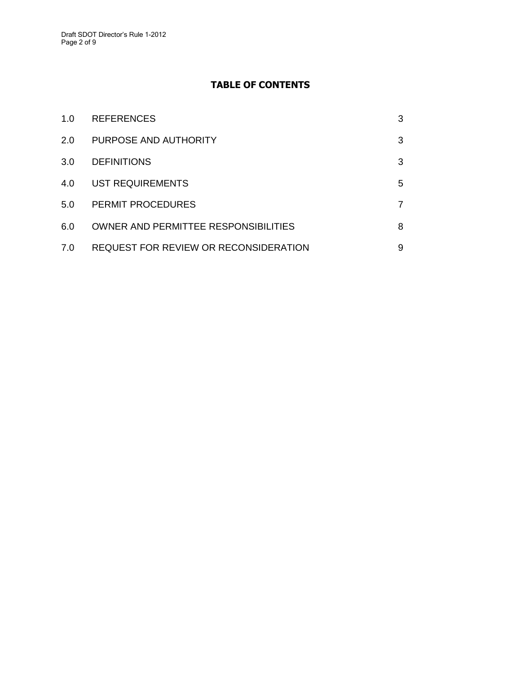#### **TABLE OF CONTENTS**

| 1.0 | <b>REFERENCES</b>                            | 3 |
|-----|----------------------------------------------|---|
| 2.0 | PURPOSE AND AUTHORITY                        | 3 |
| 3.0 | <b>DEFINITIONS</b>                           | 3 |
| 4.0 | <b>UST REQUIREMENTS</b>                      | 5 |
| 5.0 | PERMIT PROCEDURES                            | 7 |
| 6.0 | <b>OWNER AND PERMITTEE RESPONSIBILITIES</b>  | 8 |
| 7.0 | <b>REQUEST FOR REVIEW OR RECONSIDERATION</b> | 9 |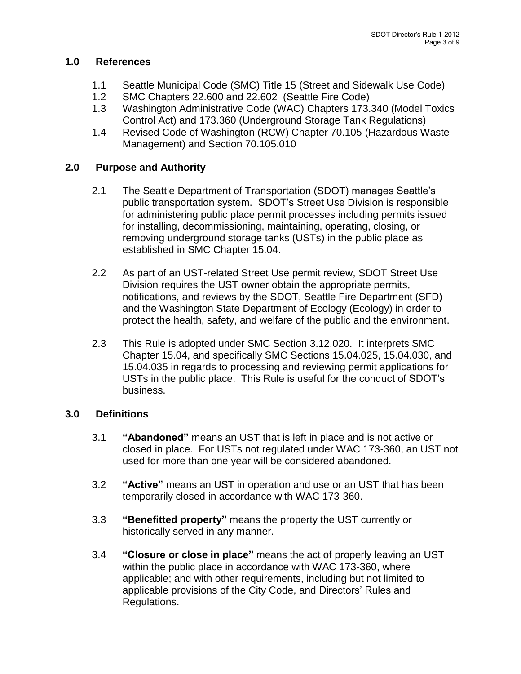### **1.0 References**

- 1.1 Seattle Municipal Code (SMC) Title 15 (Street and Sidewalk Use Code)
- 1.2 SMC Chapters 22.600 and 22.602 (Seattle Fire Code)
- 1.3 Washington Administrative Code (WAC) Chapters 173.340 (Model Toxics Control Act) and 173.360 (Underground Storage Tank Regulations)
- 1.4 Revised Code of Washington (RCW) Chapter 70.105 (Hazardous Waste Management) and Section 70.105.010

# **2.0 Purpose and Authority**

- 2.1 The Seattle Department of Transportation (SDOT) manages Seattle's public transportation system. SDOT's Street Use Division is responsible for administering public place permit processes including permits issued for installing, decommissioning, maintaining, operating, closing, or removing underground storage tanks (USTs) in the public place as established in SMC Chapter 15.04.
- 2.2 As part of an UST-related Street Use permit review, SDOT Street Use Division requires the UST owner obtain the appropriate permits, notifications, and reviews by the SDOT, Seattle Fire Department (SFD) and the Washington State Department of Ecology (Ecology) in order to protect the health, safety, and welfare of the public and the environment.
- 2.3 This Rule is adopted under SMC Section 3.12.020. It interprets SMC Chapter 15.04, and specifically SMC Sections 15.04.025, 15.04.030, and 15.04.035 in regards to processing and reviewing permit applications for USTs in the public place. This Rule is useful for the conduct of SDOT's business.

## **3.0 Definitions**

- 3.1 **"Abandoned"** means an UST that is left in place and is not active or closed in place. For USTs not regulated under WAC 173-360, an UST not used for more than one year will be considered abandoned.
- 3.2 **"Active"** means an UST in operation and use or an UST that has been temporarily closed in accordance with WAC 173-360.
- 3.3 **"Benefitted property"** means the property the UST currently or historically served in any manner.
- 3.4 **"Closure or close in place"** means the act of properly leaving an UST within the public place in accordance with WAC 173-360, where applicable; and with other requirements, including but not limited to applicable provisions of the City Code, and Directors' Rules and Regulations.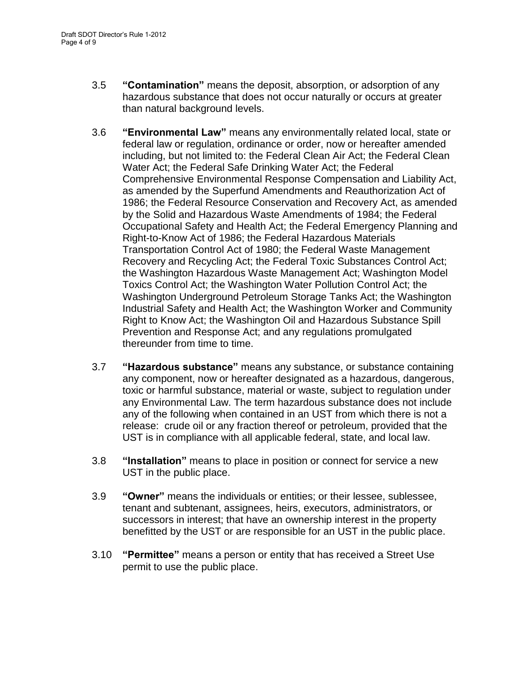- 3.5 **"Contamination"** means the deposit, absorption, or adsorption of any hazardous substance that does not occur naturally or occurs at greater than natural background levels.
- 3.6 **"Environmental Law"** means any environmentally related local, state or federal law or regulation, ordinance or order, now or hereafter amended including, but not limited to: the Federal Clean Air Act; the Federal Clean Water Act; the Federal Safe Drinking Water Act; the Federal Comprehensive Environmental Response Compensation and Liability Act, as amended by the Superfund Amendments and Reauthorization Act of 1986; the Federal Resource Conservation and Recovery Act, as amended by the Solid and Hazardous Waste Amendments of 1984; the Federal Occupational Safety and Health Act; the Federal Emergency Planning and Right-to-Know Act of 1986; the Federal Hazardous Materials Transportation Control Act of 1980; the Federal Waste Management Recovery and Recycling Act; the Federal Toxic Substances Control Act; the Washington Hazardous Waste Management Act; Washington Model Toxics Control Act; the Washington Water Pollution Control Act; the Washington Underground Petroleum Storage Tanks Act; the Washington Industrial Safety and Health Act; the Washington Worker and Community Right to Know Act; the Washington Oil and Hazardous Substance Spill Prevention and Response Act; and any regulations promulgated thereunder from time to time.
- 3.7 **"Hazardous substance"** means any substance, or substance containing any component, now or hereafter designated as a hazardous, dangerous, toxic or harmful substance, material or waste, subject to regulation under any Environmental Law. The term hazardous substance does not include any of the following when contained in an UST from which there is not a release: crude oil or any fraction thereof or petroleum, provided that the UST is in compliance with all applicable federal, state, and local law.
- 3.8 **"Installation"** means to place in position or connect for service a new UST in the public place.
- 3.9 **"Owner"** means the individuals or entities; or their lessee, sublessee, tenant and subtenant, assignees, heirs, executors, administrators, or successors in interest; that have an ownership interest in the property benefitted by the UST or are responsible for an UST in the public place.
- 3.10 **"Permittee"** means a person or entity that has received a Street Use permit to use the public place.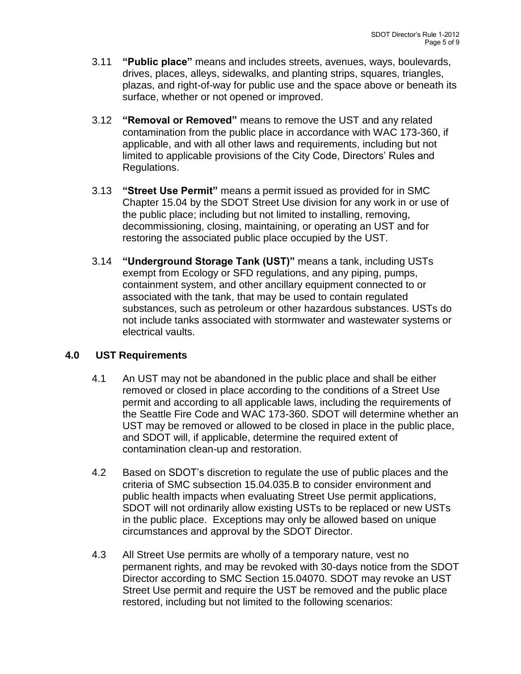- 3.11 **"Public place"** means and includes streets, avenues, ways, boulevards, drives, places, alleys, sidewalks, and planting strips, squares, triangles, plazas, and right-of-way for public use and the space above or beneath its surface, whether or not opened or improved.
- 3.12 **"Removal or Removed"** means to remove the UST and any related contamination from the public place in accordance with WAC 173-360, if applicable, and with all other laws and requirements, including but not limited to applicable provisions of the City Code, Directors' Rules and Regulations.
- 3.13 **"Street Use Permit"** means a permit issued as provided for in SMC Chapter 15.04 by the SDOT Street Use division for any work in or use of the public place; including but not limited to installing, removing, decommissioning, closing, maintaining, or operating an UST and for restoring the associated public place occupied by the UST.
- 3.14 **"Underground Storage Tank (UST)"** means a tank, including USTs exempt from Ecology or SFD regulations, and any piping, pumps, containment system, and other ancillary equipment connected to or associated with the tank, that may be used to contain regulated substances, such as petroleum or other hazardous substances. USTs do not include tanks associated with stormwater and wastewater systems or electrical vaults.

#### **4.0 UST Requirements**

- 4.1 An UST may not be abandoned in the public place and shall be either removed or closed in place according to the conditions of a Street Use permit and according to all applicable laws, including the requirements of the Seattle Fire Code and WAC 173-360. SDOT will determine whether an UST may be removed or allowed to be closed in place in the public place, and SDOT will, if applicable, determine the required extent of contamination clean-up and restoration.
- 4.2 Based on SDOT's discretion to regulate the use of public places and the criteria of SMC subsection 15.04.035.B to consider environment and public health impacts when evaluating Street Use permit applications, SDOT will not ordinarily allow existing USTs to be replaced or new USTs in the public place. Exceptions may only be allowed based on unique circumstances and approval by the SDOT Director.
- 4.3 All Street Use permits are wholly of a temporary nature, vest no permanent rights, and may be revoked with 30-days notice from the SDOT Director according to SMC Section 15.04070. SDOT may revoke an UST Street Use permit and require the UST be removed and the public place restored, including but not limited to the following scenarios: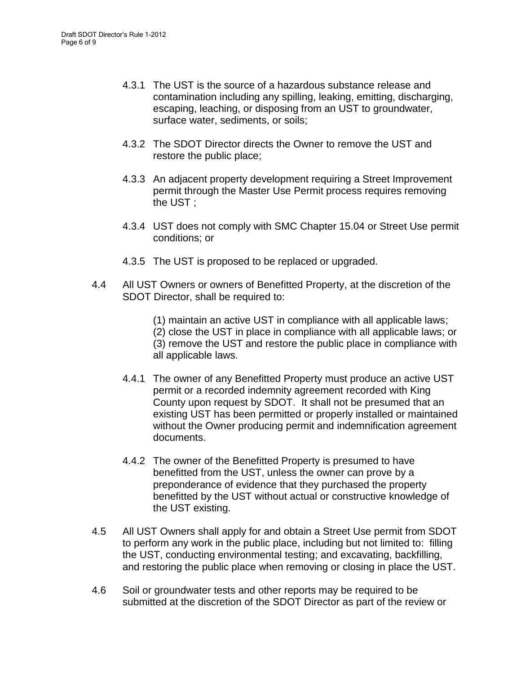- 4.3.1 The UST is the source of a hazardous substance release and contamination including any spilling, leaking, emitting, discharging, escaping, leaching, or disposing from an UST to groundwater, surface water, sediments, or soils;
- 4.3.2 The SDOT Director directs the Owner to remove the UST and restore the public place;
- 4.3.3 An adjacent property development requiring a Street Improvement permit through the Master Use Permit process requires removing the UST ;
- 4.3.4 UST does not comply with SMC Chapter 15.04 or Street Use permit conditions; or
- 4.3.5 The UST is proposed to be replaced or upgraded.
- 4.4 All UST Owners or owners of Benefitted Property, at the discretion of the SDOT Director, shall be required to:
	- (1) maintain an active UST in compliance with all applicable laws;

(2) close the UST in place in compliance with all applicable laws; or (3) remove the UST and restore the public place in compliance with all applicable laws.

- 4.4.1 The owner of any Benefitted Property must produce an active UST permit or a recorded indemnity agreement recorded with King County upon request by SDOT. It shall not be presumed that an existing UST has been permitted or properly installed or maintained without the Owner producing permit and indemnification agreement documents.
- 4.4.2 The owner of the Benefitted Property is presumed to have benefitted from the UST, unless the owner can prove by a preponderance of evidence that they purchased the property benefitted by the UST without actual or constructive knowledge of the UST existing.
- 4.5 All UST Owners shall apply for and obtain a Street Use permit from SDOT to perform any work in the public place, including but not limited to: filling the UST, conducting environmental testing; and excavating, backfilling, and restoring the public place when removing or closing in place the UST.
- 4.6 Soil or groundwater tests and other reports may be required to be submitted at the discretion of the SDOT Director as part of the review or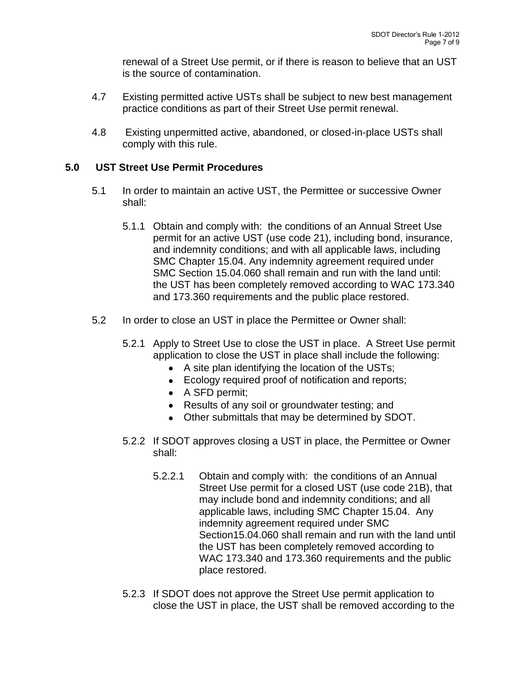renewal of a Street Use permit, or if there is reason to believe that an UST is the source of contamination.

- 4.7 Existing permitted active USTs shall be subject to new best management practice conditions as part of their Street Use permit renewal.
- 4.8 Existing unpermitted active, abandoned, or closed-in-place USTs shall comply with this rule.

#### **5.0 UST Street Use Permit Procedures**

- 5.1 In order to maintain an active UST, the Permittee or successive Owner shall:
	- 5.1.1 Obtain and comply with: the conditions of an Annual Street Use permit for an active UST (use code 21), including bond, insurance, and indemnity conditions; and with all applicable laws, including SMC Chapter 15.04. Any indemnity agreement required under SMC Section 15.04.060 shall remain and run with the land until: the UST has been completely removed according to WAC 173.340 and 173.360 requirements and the public place restored.
- 5.2 In order to close an UST in place the Permittee or Owner shall:
	- 5.2.1 Apply to Street Use to close the UST in place. A Street Use permit application to close the UST in place shall include the following:
		- A site plan identifying the location of the USTs;
		- **Ecology required proof of notification and reports;**
		- A SFD permit;
		- Results of any soil or groundwater testing; and
		- Other submittals that may be determined by SDOT.
	- 5.2.2 If SDOT approves closing a UST in place, the Permittee or Owner shall:
		- 5.2.2.1 Obtain and comply with: the conditions of an Annual Street Use permit for a closed UST (use code 21B), that may include bond and indemnity conditions; and all applicable laws, including SMC Chapter 15.04. Any indemnity agreement required under SMC Section15.04.060 shall remain and run with the land until the UST has been completely removed according to WAC 173.340 and 173.360 requirements and the public place restored.
	- 5.2.3 If SDOT does not approve the Street Use permit application to close the UST in place, the UST shall be removed according to the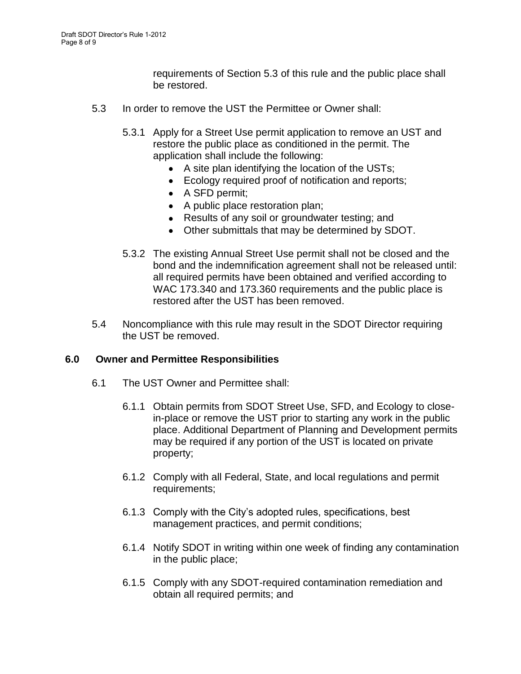requirements of Section 5.3 of this rule and the public place shall be restored.

- 5.3 In order to remove the UST the Permittee or Owner shall:
	- 5.3.1 Apply for a Street Use permit application to remove an UST and restore the public place as conditioned in the permit. The application shall include the following:
		- A site plan identifying the location of the USTs;
		- Ecology required proof of notification and reports;
		- A SFD permit:
		- A public place restoration plan;
		- Results of any soil or groundwater testing; and
		- Other submittals that may be determined by SDOT.
	- 5.3.2 The existing Annual Street Use permit shall not be closed and the bond and the indemnification agreement shall not be released until: all required permits have been obtained and verified according to WAC 173.340 and 173.360 requirements and the public place is restored after the UST has been removed.
- 5.4 Noncompliance with this rule may result in the SDOT Director requiring the UST be removed.

#### **6.0 Owner and Permittee Responsibilities**

- 6.1 The UST Owner and Permittee shall:
	- 6.1.1 Obtain permits from SDOT Street Use, SFD, and Ecology to closein-place or remove the UST prior to starting any work in the public place. Additional Department of Planning and Development permits may be required if any portion of the UST is located on private property;
	- 6.1.2 Comply with all Federal, State, and local regulations and permit requirements;
	- 6.1.3 Comply with the City's adopted rules, specifications, best management practices, and permit conditions;
	- 6.1.4 Notify SDOT in writing within one week of finding any contamination in the public place;
	- 6.1.5 Comply with any SDOT-required contamination remediation and obtain all required permits; and